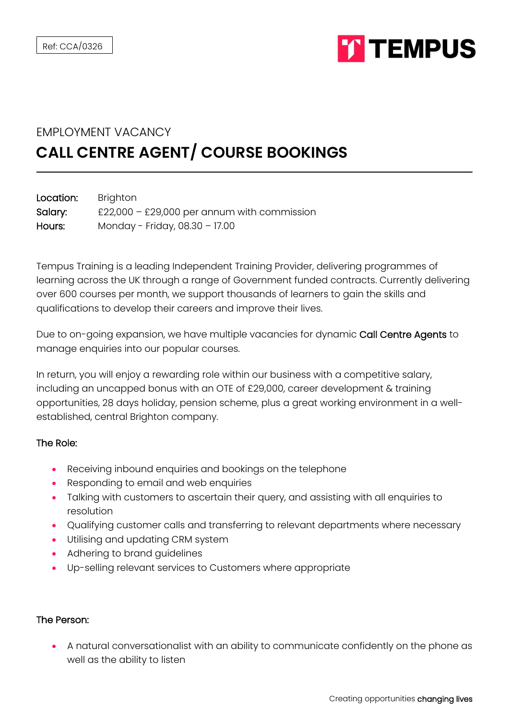

## EMPLOYMENT VACANCY **CALL CENTRE AGENT/ COURSE BOOKINGS**

| Location: | Brighton                                    |
|-----------|---------------------------------------------|
| Salary:   | £22,000 – £29,000 per annum with commission |
| Hours:    | Monday - Friday, 08.30 - 17.00              |

Tempus Training is a leading Independent Training Provider, delivering programmes of learning across the UK through a range of Government funded contracts. Currently delivering over 600 courses per month, we support thousands of learners to gain the skills and qualifications to develop their careers and improve their lives.

Due to on-going expansion, we have multiple vacancies for dynamic Call Centre Agents to manage enquiries into our popular courses.

In return, you will enjoy a rewarding role within our business with a competitive salary, including an uncapped bonus with an OTE of £29,000, career development & training opportunities, 28 days holiday, pension scheme, plus a great working environment in a wellestablished, central Brighton company.

## The Role:

- Receiving inbound enquiries and bookings on the telephone
- Responding to email and web enquiries
- Talking with customers to ascertain their query, and assisting with all enquiries to resolution
- Qualifying customer calls and transferring to relevant departments where necessary
- Utilising and updating CRM system
- Adhering to brand guidelines
- Up-selling relevant services to Customers where appropriate

## The Person:

• A natural conversationalist with an ability to communicate confidently on the phone as well as the ability to listen